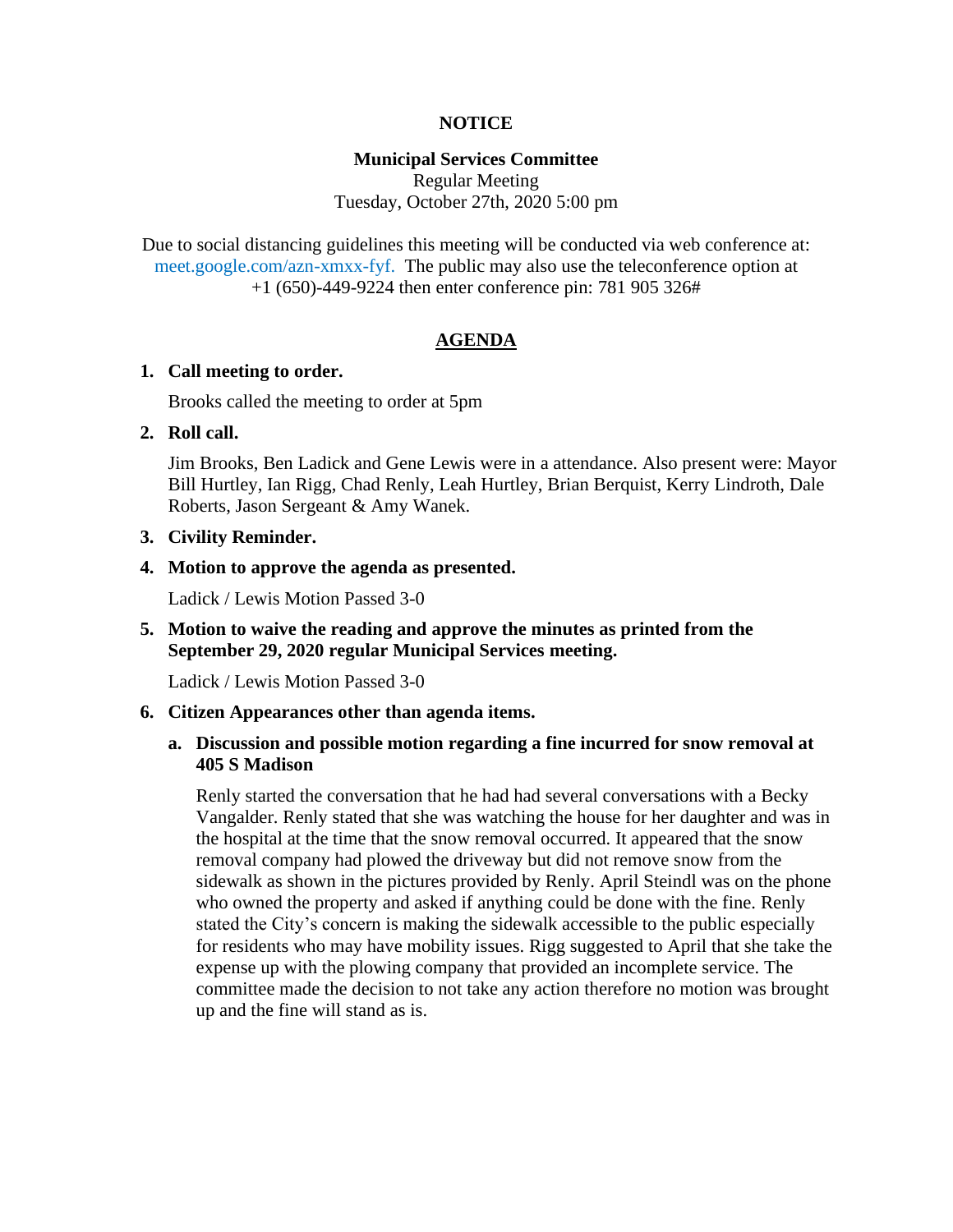#### **NOTICE**

#### **Municipal Services Committee**

Regular Meeting Tuesday, October 27th, 2020 5:00 pm

Due to social distancing guidelines this meeting will be conducted via web conference at: meet.google.com/azn-xmxx-fyf. The public may also use the teleconference option at +1 (650)-449-9224 then enter conference pin: 781 905 326#

#### **AGENDA**

#### **1. Call meeting to order.**

Brooks called the meeting to order at 5pm

#### **2. Roll call.**

Jim Brooks, Ben Ladick and Gene Lewis were in a attendance. Also present were: Mayor Bill Hurtley, Ian Rigg, Chad Renly, Leah Hurtley, Brian Berquist, Kerry Lindroth, Dale Roberts, Jason Sergeant & Amy Wanek.

#### **3. Civility Reminder.**

#### **4. Motion to approve the agenda as presented.**

Ladick / Lewis Motion Passed 3-0

### **5. Motion to waive the reading and approve the minutes as printed from the September 29, 2020 regular Municipal Services meeting.**

Ladick / Lewis Motion Passed 3-0

#### **6. Citizen Appearances other than agenda items.**

### **a. Discussion and possible motion regarding a fine incurred for snow removal at 405 S Madison**

Renly started the conversation that he had had several conversations with a Becky Vangalder. Renly stated that she was watching the house for her daughter and was in the hospital at the time that the snow removal occurred. It appeared that the snow removal company had plowed the driveway but did not remove snow from the sidewalk as shown in the pictures provided by Renly. April Steindl was on the phone who owned the property and asked if anything could be done with the fine. Renly stated the City's concern is making the sidewalk accessible to the public especially for residents who may have mobility issues. Rigg suggested to April that she take the expense up with the plowing company that provided an incomplete service. The committee made the decision to not take any action therefore no motion was brought up and the fine will stand as is.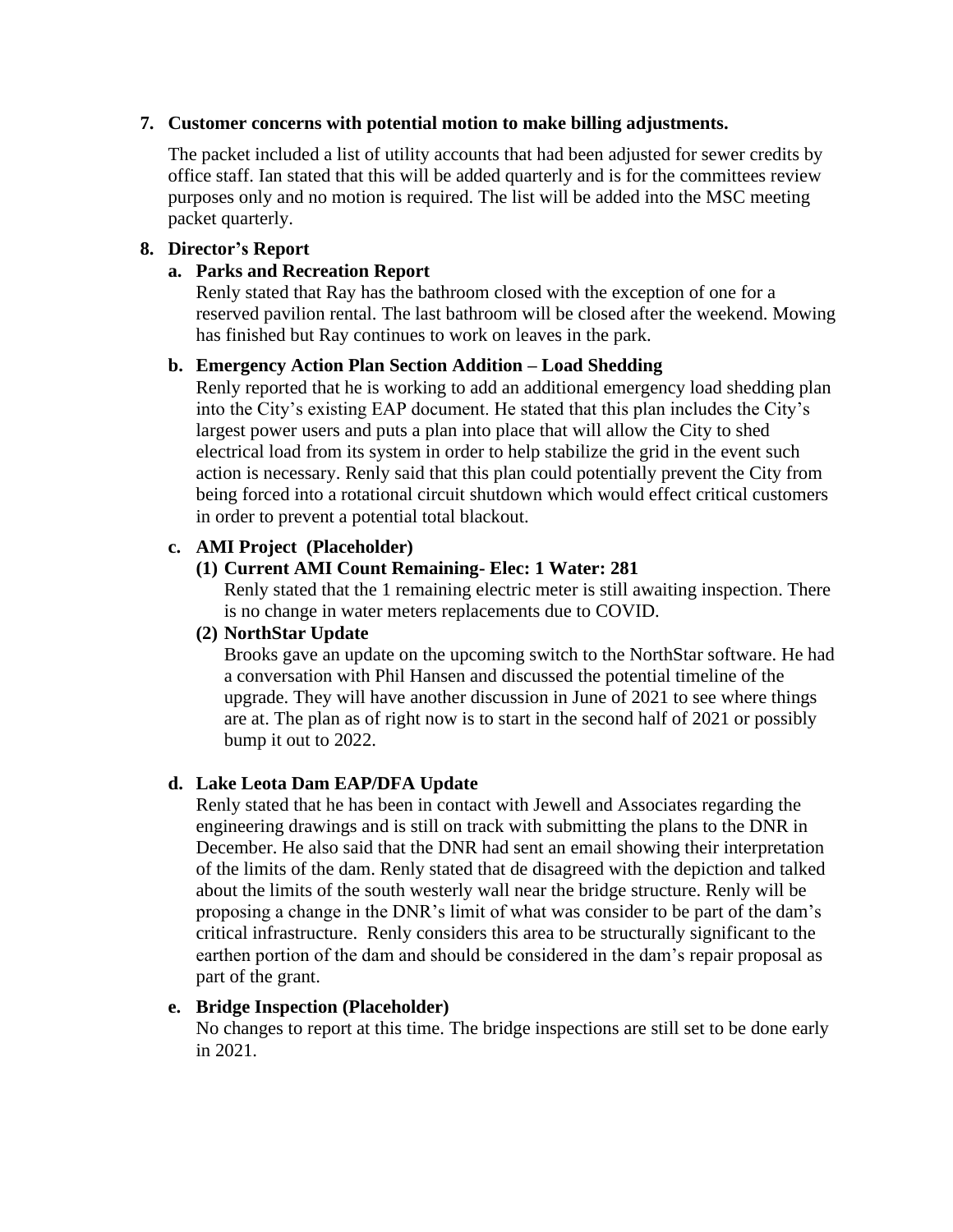### **7. Customer concerns with potential motion to make billing adjustments.**

The packet included a list of utility accounts that had been adjusted for sewer credits by office staff. Ian stated that this will be added quarterly and is for the committees review purposes only and no motion is required. The list will be added into the MSC meeting packet quarterly.

# **8. Director's Report**

## **a. Parks and Recreation Report**

Renly stated that Ray has the bathroom closed with the exception of one for a reserved pavilion rental. The last bathroom will be closed after the weekend. Mowing has finished but Ray continues to work on leaves in the park.

## **b. Emergency Action Plan Section Addition – Load Shedding**

Renly reported that he is working to add an additional emergency load shedding plan into the City's existing EAP document. He stated that this plan includes the City's largest power users and puts a plan into place that will allow the City to shed electrical load from its system in order to help stabilize the grid in the event such action is necessary. Renly said that this plan could potentially prevent the City from being forced into a rotational circuit shutdown which would effect critical customers in order to prevent a potential total blackout.

## **c. AMI Project (Placeholder)**

# **(1) Current AMI Count Remaining- Elec: 1 Water: 281**

Renly stated that the 1 remaining electric meter is still awaiting inspection. There is no change in water meters replacements due to COVID.

### **(2) NorthStar Update**

Brooks gave an update on the upcoming switch to the NorthStar software. He had a conversation with Phil Hansen and discussed the potential timeline of the upgrade. They will have another discussion in June of 2021 to see where things are at. The plan as of right now is to start in the second half of 2021 or possibly bump it out to 2022.

### **d. Lake Leota Dam EAP/DFA Update**

Renly stated that he has been in contact with Jewell and Associates regarding the engineering drawings and is still on track with submitting the plans to the DNR in December. He also said that the DNR had sent an email showing their interpretation of the limits of the dam. Renly stated that de disagreed with the depiction and talked about the limits of the south westerly wall near the bridge structure. Renly will be proposing a change in the DNR's limit of what was consider to be part of the dam's critical infrastructure. Renly considers this area to be structurally significant to the earthen portion of the dam and should be considered in the dam's repair proposal as part of the grant.

### **e. Bridge Inspection (Placeholder)**

No changes to report at this time. The bridge inspections are still set to be done early in 2021.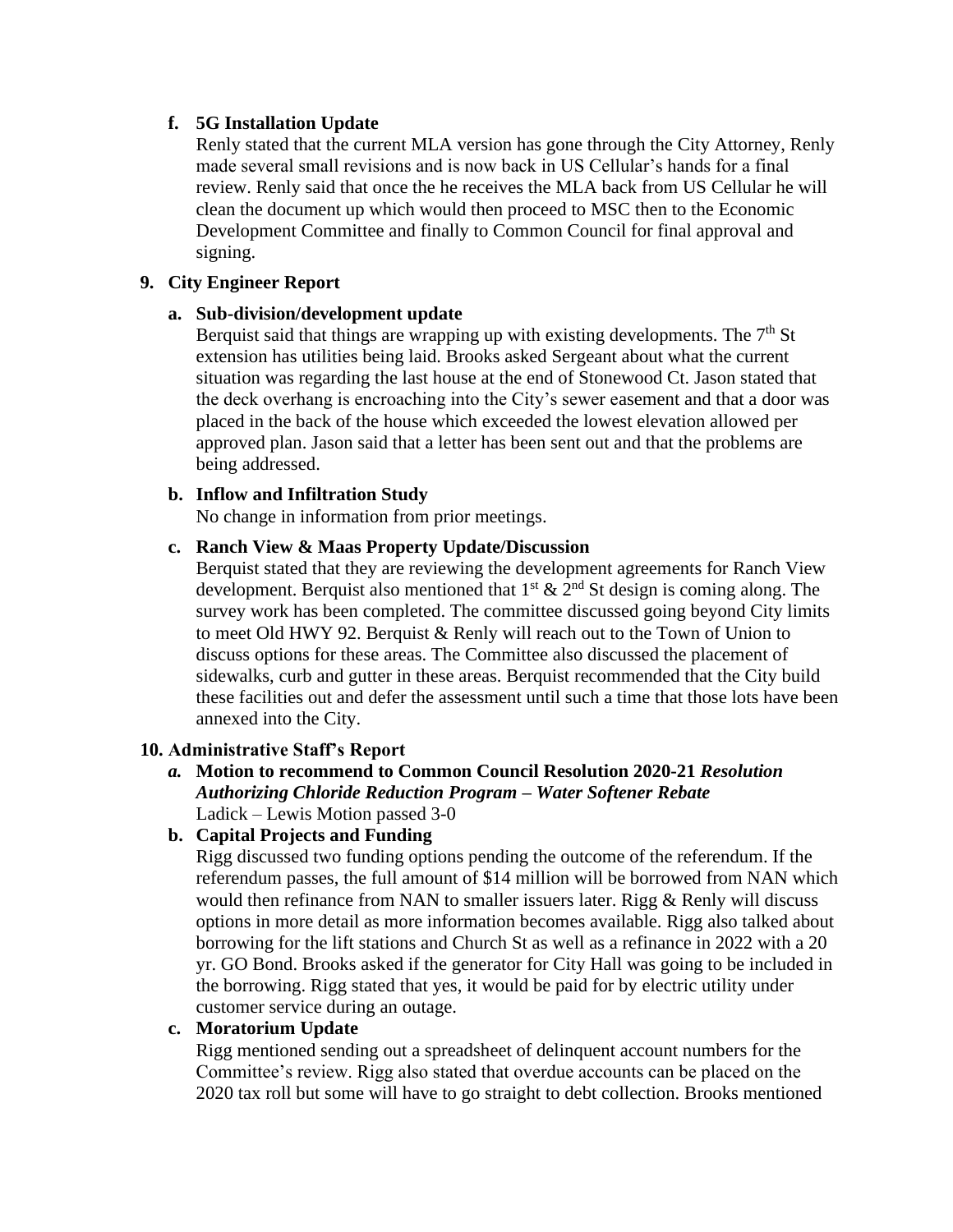## **f. 5G Installation Update**

Renly stated that the current MLA version has gone through the City Attorney, Renly made several small revisions and is now back in US Cellular's hands for a final review. Renly said that once the he receives the MLA back from US Cellular he will clean the document up which would then proceed to MSC then to the Economic Development Committee and finally to Common Council for final approval and signing.

## **9. City Engineer Report**

## **a. Sub-division/development update**

Berquist said that things are wrapping up with existing developments. The  $7<sup>th</sup>$  St extension has utilities being laid. Brooks asked Sergeant about what the current situation was regarding the last house at the end of Stonewood Ct. Jason stated that the deck overhang is encroaching into the City's sewer easement and that a door was placed in the back of the house which exceeded the lowest elevation allowed per approved plan. Jason said that a letter has been sent out and that the problems are being addressed.

## **b. Inflow and Infiltration Study**

No change in information from prior meetings.

# **c. Ranch View & Maas Property Update/Discussion**

Berquist stated that they are reviewing the development agreements for Ranch View development. Berquist also mentioned that  $1<sup>st</sup> \& 2<sup>nd</sup>$  St design is coming along. The survey work has been completed. The committee discussed going beyond City limits to meet Old HWY 92. Berquist & Renly will reach out to the Town of Union to discuss options for these areas. The Committee also discussed the placement of sidewalks, curb and gutter in these areas. Berquist recommended that the City build these facilities out and defer the assessment until such a time that those lots have been annexed into the City.

# **10. Administrative Staff's Report**

*a.* **Motion to recommend to Common Council Resolution 2020-21** *Resolution Authorizing Chloride Reduction Program – Water Softener Rebate* Ladick – Lewis Motion passed 3-0

# **b. Capital Projects and Funding**

Rigg discussed two funding options pending the outcome of the referendum. If the referendum passes, the full amount of \$14 million will be borrowed from NAN which would then refinance from NAN to smaller issuers later. Rigg  $&$  Renly will discuss options in more detail as more information becomes available. Rigg also talked about borrowing for the lift stations and Church St as well as a refinance in 2022 with a 20 yr. GO Bond. Brooks asked if the generator for City Hall was going to be included in the borrowing. Rigg stated that yes, it would be paid for by electric utility under customer service during an outage.

### **c. Moratorium Update**

Rigg mentioned sending out a spreadsheet of delinquent account numbers for the Committee's review. Rigg also stated that overdue accounts can be placed on the 2020 tax roll but some will have to go straight to debt collection. Brooks mentioned